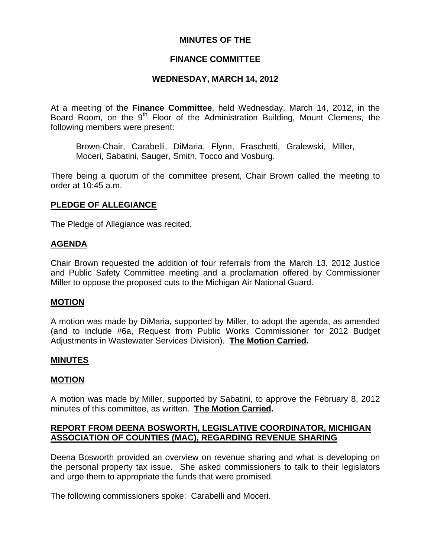# **MINUTES OF THE**

# **FINANCE COMMITTEE**

# **WEDNESDAY, MARCH 14, 2012**

At a meeting of the **Finance Committee**, held Wednesday, March 14, 2012, in the Board Room, on the  $9<sup>th</sup>$  Floor of the Administration Building, Mount Clemens, the following members were present:

Brown-Chair, Carabelli, DiMaria, Flynn, Fraschetti, Gralewski, Miller, Moceri, Sabatini, Sauger, Smith, Tocco and Vosburg.

There being a quorum of the committee present, Chair Brown called the meeting to order at 10:45 a.m.

# **PLEDGE OF ALLEGIANCE**

The Pledge of Allegiance was recited.

### **AGENDA**

Chair Brown requested the addition of four referrals from the March 13, 2012 Justice and Public Safety Committee meeting and a proclamation offered by Commissioner Miller to oppose the proposed cuts to the Michigan Air National Guard.

### **MOTION**

A motion was made by DiMaria, supported by Miller, to adopt the agenda, as amended (and to include #6a, Request from Public Works Commissioner for 2012 Budget Adjustments in Wastewater Services Division). **The Motion Carried.** 

### **MINUTES**

### **MOTION**

A motion was made by Miller, supported by Sabatini, to approve the February 8, 2012 minutes of this committee, as written. **The Motion Carried.** 

# **REPORT FROM DEENA BOSWORTH, LEGISLATIVE COORDINATOR, MICHIGAN ASSOCIATION OF COUNTIES (MAC), REGARDING REVENUE SHARING**

Deena Bosworth provided an overview on revenue sharing and what is developing on the personal property tax issue. She asked commissioners to talk to their legislators and urge them to appropriate the funds that were promised.

The following commissioners spoke: Carabelli and Moceri.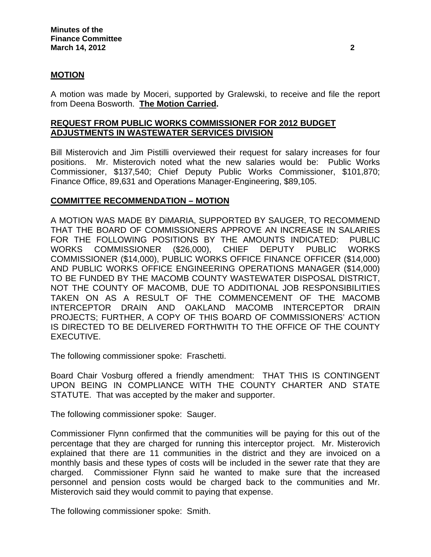## **MOTION**

A motion was made by Moceri, supported by Gralewski, to receive and file the report from Deena Bosworth. **The Motion Carried.** 

# **REQUEST FROM PUBLIC WORKS COMMISSIONER FOR 2012 BUDGET ADJUSTMENTS IN WASTEWATER SERVICES DIVISION**

Bill Misterovich and Jim Pistilli overviewed their request for salary increases for four positions. Mr. Misterovich noted what the new salaries would be: Public Works Commissioner, \$137,540; Chief Deputy Public Works Commissioner, \$101,870; Finance Office, 89,631 and Operations Manager-Engineering, \$89,105.

## **COMMITTEE RECOMMENDATION – MOTION**

A MOTION WAS MADE BY DiMARIA, SUPPORTED BY SAUGER, TO RECOMMEND THAT THE BOARD OF COMMISSIONERS APPROVE AN INCREASE IN SALARIES FOR THE FOLLOWING POSITIONS BY THE AMOUNTS INDICATED: PUBLIC WORKS COMMISSIONER (\$26,000), CHIEF DEPUTY PUBLIC WORKS COMMISSIONER (\$14,000), PUBLIC WORKS OFFICE FINANCE OFFICER (\$14,000) AND PUBLIC WORKS OFFICE ENGINEERING OPERATIONS MANAGER (\$14,000) TO BE FUNDED BY THE MACOMB COUNTY WASTEWATER DISPOSAL DISTRICT, NOT THE COUNTY OF MACOMB, DUE TO ADDITIONAL JOB RESPONSIBILITIES TAKEN ON AS A RESULT OF THE COMMENCEMENT OF THE MACOMB INTERCEPTOR DRAIN AND OAKLAND MACOMB INTERCEPTOR DRAIN PROJECTS; FURTHER, A COPY OF THIS BOARD OF COMMISSIONERS' ACTION IS DIRECTED TO BE DELIVERED FORTHWITH TO THE OFFICE OF THE COUNTY EXECUTIVE.

The following commissioner spoke: Fraschetti.

Board Chair Vosburg offered a friendly amendment: THAT THIS IS CONTINGENT UPON BEING IN COMPLIANCE WITH THE COUNTY CHARTER AND STATE STATUTE. That was accepted by the maker and supporter.

The following commissioner spoke: Sauger.

Commissioner Flynn confirmed that the communities will be paying for this out of the percentage that they are charged for running this interceptor project. Mr. Misterovich explained that there are 11 communities in the district and they are invoiced on a monthly basis and these types of costs will be included in the sewer rate that they are charged. Commissioner Flynn said he wanted to make sure that the increased personnel and pension costs would be charged back to the communities and Mr. Misterovich said they would commit to paying that expense.

The following commissioner spoke: Smith.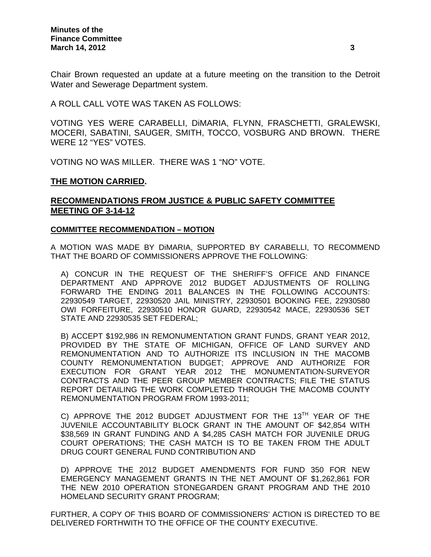Chair Brown requested an update at a future meeting on the transition to the Detroit Water and Sewerage Department system.

A ROLL CALL VOTE WAS TAKEN AS FOLLOWS:

VOTING YES WERE CARABELLI, DiMARIA, FLYNN, FRASCHETTI, GRALEWSKI, MOCERI, SABATINI, SAUGER, SMITH, TOCCO, VOSBURG AND BROWN. THERE WERE 12 "YES" VOTES.

VOTING NO WAS MILLER. THERE WAS 1 "NO" VOTE.

#### **THE MOTION CARRIED.**

# **RECOMMENDATIONS FROM JUSTICE & PUBLIC SAFETY COMMITTEE MEETING OF 3-14-12**

#### **COMMITTEE RECOMMENDATION – MOTION**

A MOTION WAS MADE BY DiMARIA, SUPPORTED BY CARABELLI, TO RECOMMEND THAT THE BOARD OF COMMISSIONERS APPROVE THE FOLLOWING:

A) CONCUR IN THE REQUEST OF THE SHERIFF'S OFFICE AND FINANCE DEPARTMENT AND APPROVE 2012 BUDGET ADJUSTMENTS OF ROLLING FORWARD THE ENDING 2011 BALANCES IN THE FOLLOWING ACCOUNTS: 22930549 TARGET, 22930520 JAIL MINISTRY, 22930501 BOOKING FEE, 22930580 OWI FORFEITURE, 22930510 HONOR GUARD, 22930542 MACE, 22930536 SET STATE AND 22930535 SET FEDERAL;

B) ACCEPT \$192,986 IN REMONUMENTATION GRANT FUNDS, GRANT YEAR 2012, PROVIDED BY THE STATE OF MICHIGAN, OFFICE OF LAND SURVEY AND REMONUMENTATION AND TO AUTHORIZE ITS INCLUSION IN THE MACOMB COUNTY REMONUMENTATION BUDGET; APPROVE AND AUTHORIZE FOR EXECUTION FOR GRANT YEAR 2012 THE MONUMENTATION-SURVEYOR CONTRACTS AND THE PEER GROUP MEMBER CONTRACTS; FILE THE STATUS REPORT DETAILING THE WORK COMPLETED THROUGH THE MACOMB COUNTY REMONUMENTATION PROGRAM FROM 1993-2011;

C) APPROVE THE 2012 BUDGET ADJUSTMENT FOR THE 13TH YEAR OF THE JUVENILE ACCOUNTABILITY BLOCK GRANT IN THE AMOUNT OF \$42,854 WITH \$38,569 IN GRANT FUNDING AND A \$4,285 CASH MATCH FOR JUVENILE DRUG COURT OPERATIONS; THE CASH MATCH IS TO BE TAKEN FROM THE ADULT DRUG COURT GENERAL FUND CONTRIBUTION AND

D) APPROVE THE 2012 BUDGET AMENDMENTS FOR FUND 350 FOR NEW EMERGENCY MANAGEMENT GRANTS IN THE NET AMOUNT OF \$1,262,861 FOR THE NEW 2010 OPERATION STONEGARDEN GRANT PROGRAM AND THE 2010 HOMELAND SECURITY GRANT PROGRAM;

FURTHER, A COPY OF THIS BOARD OF COMMISSIONERS' ACTION IS DIRECTED TO BE DELIVERED FORTHWITH TO THE OFFICE OF THE COUNTY EXECUTIVE.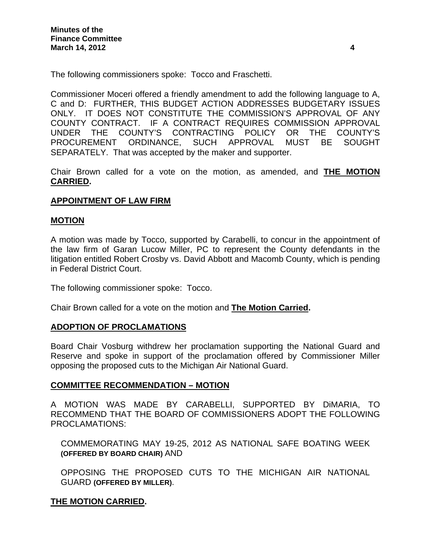The following commissioners spoke: Tocco and Fraschetti.

Commissioner Moceri offered a friendly amendment to add the following language to A, C and D: FURTHER, THIS BUDGET ACTION ADDRESSES BUDGETARY ISSUES ONLY. IT DOES NOT CONSTITUTE THE COMMISSION'S APPROVAL OF ANY COUNTY CONTRACT. IF A CONTRACT REQUIRES COMMISSION APPROVAL UNDER THE COUNTY'S CONTRACTING POLICY OR THE COUNTY'S PROCUREMENT ORDINANCE, SUCH APPROVAL MUST BE SOUGHT SEPARATELY. That was accepted by the maker and supporter.

Chair Brown called for a vote on the motion, as amended, and **THE MOTION CARRIED.** 

## **APPOINTMENT OF LAW FIRM**

### **MOTION**

A motion was made by Tocco, supported by Carabelli, to concur in the appointment of the law firm of Garan Lucow Miller, PC to represent the County defendants in the litigation entitled Robert Crosby vs. David Abbott and Macomb County, which is pending in Federal District Court.

The following commissioner spoke: Tocco.

Chair Brown called for a vote on the motion and **The Motion Carried.** 

### **ADOPTION OF PROCLAMATIONS**

Board Chair Vosburg withdrew her proclamation supporting the National Guard and Reserve and spoke in support of the proclamation offered by Commissioner Miller opposing the proposed cuts to the Michigan Air National Guard.

### **COMMITTEE RECOMMENDATION – MOTION**

A MOTION WAS MADE BY CARABELLI, SUPPORTED BY DiMARIA, TO RECOMMEND THAT THE BOARD OF COMMISSIONERS ADOPT THE FOLLOWING PROCLAMATIONS:

COMMEMORATING MAY 19-25, 2012 AS NATIONAL SAFE BOATING WEEK **(OFFERED BY BOARD CHAIR)** AND

OPPOSING THE PROPOSED CUTS TO THE MICHIGAN AIR NATIONAL GUARD **(OFFERED BY MILLER)**.

# **THE MOTION CARRIED.**